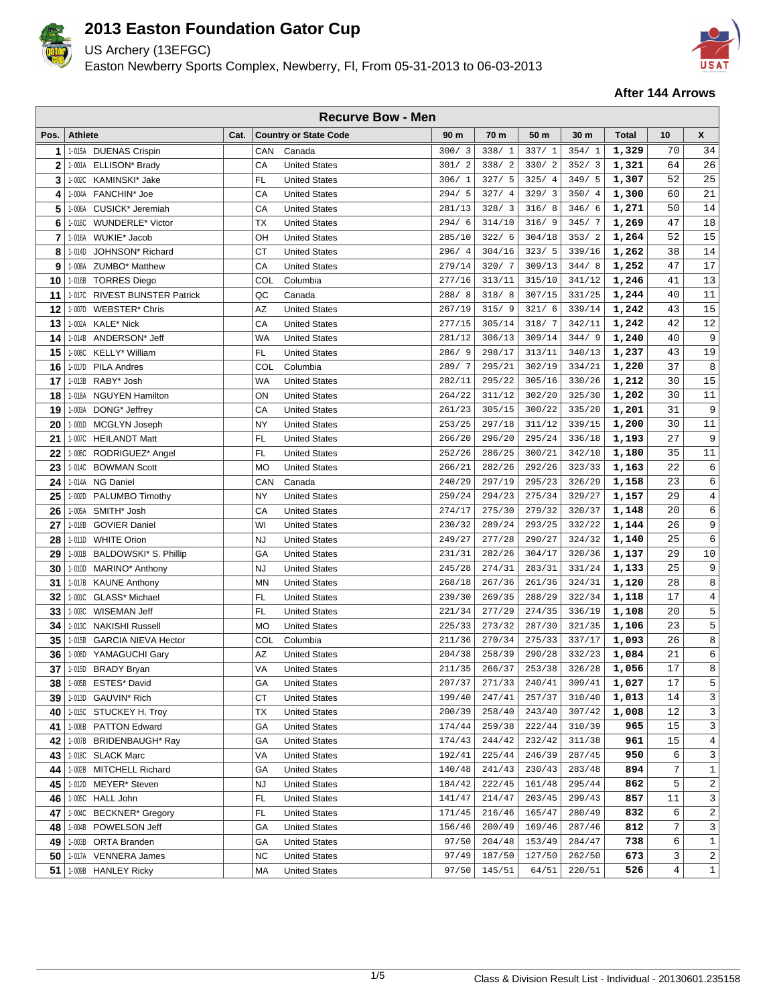

US Archery (13EFGC)

Easton Newberry Sports Complex, Newberry, Fl, From 05-31-2013 to 06-03-2013



|      | <b>Recurve Bow - Men</b> |                               |      |            |                              |                        |        |        |                 |              |                         |                |  |
|------|--------------------------|-------------------------------|------|------------|------------------------------|------------------------|--------|--------|-----------------|--------------|-------------------------|----------------|--|
| Pos. | <b>Athlete</b>           |                               | Cat. |            | <b>Country or State Code</b> | 90 m                   | 70 m   | 50 m   | 30 <sub>m</sub> | <b>Total</b> | 10                      | X              |  |
| 1    |                          | 1-015A DUENAS Crispin         |      | CAN        | Canada                       | 300/3                  | 338/1  | 337/1  | 354/1           | 1,329        | 70                      | 34             |  |
| 2    |                          | 1-001A ELLISON* Brady         |      | CA         | <b>United States</b>         | 301/<br>$\overline{a}$ | 338/2  | 330/2  | 352/3           | 1,321        | 64                      | 26             |  |
| 3    |                          | 1-002C KAMINSKI* Jake         |      | FL.        | <b>United States</b>         | 306/1                  | 327/5  | 325/4  | 349/5           | 1,307        | 52                      | 25             |  |
| 4    |                          | 1-004A FANCHIN* Joe           |      | CA         | <b>United States</b>         | 294/5                  | 327/4  | 329/3  | 350/4           | 1,300        | 60                      | 21             |  |
| 5    | 1-006A                   | CUSICK* Jeremiah              |      | CA         | <b>United States</b>         | 281/13                 | 328/3  | 316/8  | 346/6           | 1,271        | 50                      | 14             |  |
| 6    | 1-016C                   | <b>WUNDERLE*</b> Victor       |      | TX         | <b>United States</b>         | 294/6                  | 314/10 | 316/9  | 345/7           | 1,269        | 47                      | 18             |  |
| 7    |                          | 1-016A WUKIE* Jacob           |      | OH         | <b>United States</b>         | 285/10                 | 322/6  | 304/18 | 353/2           | 1,264        | 52                      | 15             |  |
| 8    | 1-014D                   | JOHNSON <sup>*</sup> Richard  |      | CT         | <b>United States</b>         | 296/4                  | 304/16 | 323/5  | 339/16          | 1,262        | 38                      | 14             |  |
| 9    | 1-008A                   | ZUMBO* Matthew                |      | CA         | <b>United States</b>         | 279/14                 | 320/7  | 309/13 | 344/8           | 1,252        | 47                      | 17             |  |
| 10   |                          | 1-016B TORRES Diego           |      | <b>COL</b> | Columbia                     | 277/16                 | 313/11 | 315/10 | 341/12          | 1,246        | 41                      | $13$           |  |
| 11   | 1-017C                   | <b>RIVEST BUNSTER Patrick</b> |      | QC         | Canada                       | 288/8                  | 318/8  | 307/15 | 331/25          | 1,244        | 40                      | $11\,$         |  |
| 12   | 1-007D                   | <b>WEBSTER* Chris</b>         |      | AZ         | <b>United States</b>         | 267/19                 | 315/9  | 321/6  | 339/14          | 1,242        | 43                      | 15             |  |
| 13   | 1-002A                   | <b>KALE* Nick</b>             |      | CA         | <b>United States</b>         | 277/15                 | 305/14 | 318/7  | 342/11          | 1,242        | 42                      | 12             |  |
| 14   |                          | 1-014B ANDERSON* Jeff         |      | <b>WA</b>  | <b>United States</b>         | 281/12                 | 306/13 | 309/14 | 344/9           | 1,240        | 40                      | 9              |  |
| 15   | 1-008C                   | KELLY* William                |      | <b>FL</b>  | <b>United States</b>         | 286/9                  | 298/17 | 313/11 | 340/13          | 1,237        | 43                      | 19             |  |
| 16   |                          | 1-017D PILA Andres            |      | COL        | Columbia                     | 289/7                  | 295/21 | 302/19 | 334/21          | 1,220        | 37                      | 8              |  |
| 17   |                          | 1-013B RABY* Josh             |      | <b>WA</b>  | <b>United States</b>         | 282/11                 | 295/22 | 305/16 | 330/26          | 1,212        | 30                      | 15             |  |
| 18   |                          | 1-018A NGUYEN Hamilton        |      | ON         | <b>United States</b>         | 264/22                 | 311/12 | 302/20 | 325/30          | 1,202        | 30                      | 11             |  |
| 19   |                          | 1-003A DONG* Jeffrey          |      | CA         | <b>United States</b>         | 261/23                 | 305/15 | 300/22 | 335/20          | 1,201        | 31                      | 9              |  |
| 20   |                          | 1-001D MCGLYN Joseph          |      | <b>NY</b>  | <b>United States</b>         | 253/25                 | 297/18 | 311/12 | 339/15          | 1,200        | 30                      | $11\,$         |  |
| 21   |                          | 1-007C HEILANDT Matt          |      | FL.        | <b>United States</b>         | 266/20                 | 296/20 | 295/24 | 336/18          | 1,193        | 27                      | 9              |  |
| 22   |                          | 1-006C RODRIGUEZ* Angel       |      | FL.        | <b>United States</b>         | 252/26                 | 286/25 | 300/21 | 342/10          | 1,180        | 35                      | 11             |  |
| 23   |                          | 1-014C BOWMAN Scott           |      | <b>MO</b>  | <b>United States</b>         | 266/21                 | 282/26 | 292/26 | 323/33          | 1,163        | 22                      | 6              |  |
| 24   |                          | 1-014A NG Daniel              |      | CAN        | Canada                       | 240/29                 | 297/19 | 295/23 | 326/29          | 1,158        | 23                      | $\epsilon$     |  |
| 25   |                          | 1-002D PALUMBO Timothy        |      | <b>NY</b>  | <b>United States</b>         | 259/24                 | 294/23 | 275/34 | 329/27          | 1,157        | 29                      | $\overline{4}$ |  |
| 26   |                          | 1-005A SMITH* Josh            |      | CA         | <b>United States</b>         | 274/17                 | 275/30 | 279/32 | 320/37          | 1,148        | 20                      | 6              |  |
| 27   |                          | 1-018B GOVIER Daniel          |      | WI         | <b>United States</b>         | 230/32                 | 289/24 | 293/25 | 332/22          | 1,144        | 26                      | 9              |  |
| 28   |                          | 1-011D WHITE Orion            |      | <b>NJ</b>  | <b>United States</b>         | 249/27                 | 277/28 | 290/27 | 324/32          | 1,140        | 25                      | 6              |  |
| 29   | 1-001B                   | BALDOWSKI* S. Phillip         |      | GA         | <b>United States</b>         | 231/31                 | 282/26 | 304/17 | 320/36          | 1,137        | 29                      | 10             |  |
| 30   | 1-010D                   | MARINO* Anthony               |      | <b>NJ</b>  | <b>United States</b>         | 245/28                 | 274/31 | 283/31 | 331/24          | 1,133        | 25                      | 9              |  |
| 31   |                          | 1-017B KAUNE Anthony          |      | <b>MN</b>  | <b>United States</b>         | 268/18                 | 267/36 | 261/36 | 324/31          | 1,120        | 28                      | 8              |  |
| 32   | 1-001C                   | GLASS* Michael                |      | <b>FL</b>  | <b>United States</b>         | 239/30                 | 269/35 | 288/29 | 322/34          | 1,118        | 17                      | $\overline{4}$ |  |
| 33   |                          | 1-003C WISEMAN Jeff           |      | <b>FL</b>  | <b>United States</b>         | 221/34                 | 277/29 | 274/35 | 336/19          | 1,108        | 20                      | 5              |  |
| 34   |                          | 1-013C NAKISHI Russell        |      | <b>MO</b>  | <b>United States</b>         | 225/33                 | 273/32 | 287/30 | 321/35          | 1,106        | 23                      | 5              |  |
| 35   |                          | 1-015B GARCIA NIEVA Hector    |      | COL        | Columbia                     | 211/36                 | 270/34 | 275/33 | 337/17          | 1,093        | 26                      | 8              |  |
| 36   |                          | 1-006D YAMAGUCHI Gary         |      | ΑZ         | <b>United States</b>         | 204/38                 | 258/39 | 290/28 | 332/23          | 1,084        | 21                      | 6              |  |
| 37   |                          | 1-0150 BRADY Bryan            |      | VA         | <b>United States</b>         | 211/35                 | 266/37 | 253/38 | 326/28          | 1,056        | 17                      | 8              |  |
| 38   |                          | 1-005B ESTES* David           |      | GА         | <b>United States</b>         | 207/37                 | 271/33 | 240/41 | 309/41          | 1,027        | 17                      | 5              |  |
| 39   |                          | 1-013D GAUVIN* Rich           |      | СT         | <b>United States</b>         | 199/40                 | 247/41 | 257/37 | 310/40          | 1,013        | 14                      | $\mathbf{3}$   |  |
| 40   |                          | 1-015C STUCKEY H. Troy        |      | ТX         | <b>United States</b>         | 200/39                 | 258/40 | 243/40 | 307/42          | 1,008        | 12                      | 3              |  |
| 41   |                          | 1-006B PATTON Edward          |      | GА         | <b>United States</b>         | 174/44                 | 259/38 | 222/44 | 310/39          | 965          | 15                      | 3 <sup>1</sup> |  |
| 42   |                          | 1-007B BRIDENBAUGH* Ray       |      | GА         | <b>United States</b>         | 174/43                 | 244/42 | 232/42 | 311/38          | 961          | 15                      | $\overline{4}$ |  |
| 43   |                          | 1-018C SLACK Marc             |      | VA         | <b>United States</b>         | 192/41                 | 225/44 | 246/39 | 287/45          | 950          | 6                       | 3 <sup>1</sup> |  |
| 44   |                          | 1-002B MITCHELL Richard       |      | GА         | <b>United States</b>         | 140/48                 | 241/43 | 230/43 | 283/48          | 894          | 7                       | $\mathbf{1}$   |  |
| 45   |                          | 1-012D MEYER* Steven          |      | <b>NJ</b>  | <b>United States</b>         | 184/42                 | 222/45 | 161/48 | 295/44          | 862          | 5                       | 2              |  |
| 46   |                          | 1-005C HALL John              |      | FL         | <b>United States</b>         | 141/47                 | 214/47 | 203/45 | 299/43          | 857          | 11                      | 3 <sup>1</sup> |  |
| 47   | 1-004C                   | <b>BECKNER*</b> Gregory       |      | <b>FL</b>  | <b>United States</b>         | 171/45                 | 216/46 | 165/47 | 280/49          | 832          | 6                       | $\overline{a}$ |  |
| 48   |                          | 1-004B POWELSON Jeff          |      | GА         | <b>United States</b>         | 156/46                 | 200/49 | 169/46 | 287/46          | 812          | 7                       | 3              |  |
| 49   |                          | 1-003B ORTA Branden           |      | GА         | <b>United States</b>         | 97/50                  | 204/48 | 153/49 | 284/47          | 738          | б                       | $\mathbf{1}$   |  |
| 50   |                          | 1-017A VENNERA James          |      | NC         | <b>United States</b>         | 97/49                  | 187/50 | 127/50 | 262/50          | 673          | 3                       | $\overline{2}$ |  |
| 51   |                          | 1-009B HANLEY Ricky           |      | МA         | <b>United States</b>         | 97/50                  | 145/51 | 64/51  | 220/51          | 526          | $\overline{\mathbf{4}}$ | $1\,$          |  |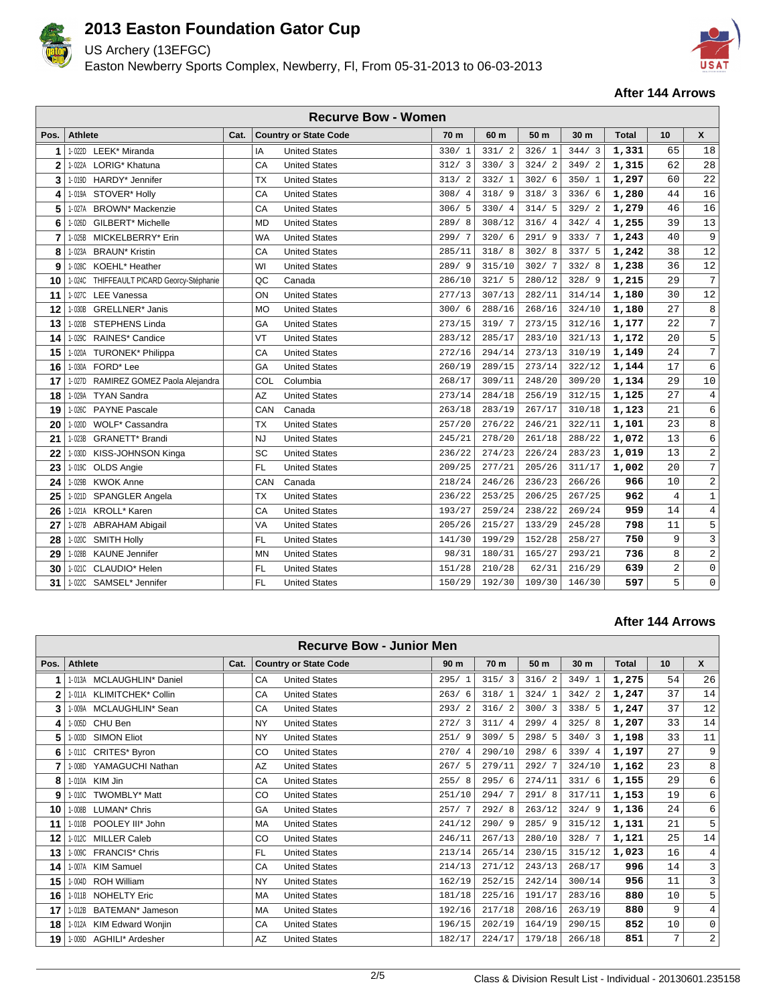

US Archery (13EFGC)

Easton Newberry Sports Complex, Newberry, Fl, From 05-31-2013 to 06-03-2013



### **After 144 Arrows**

| <b>Recurve Bow - Women</b> |                                           |      |           |                              |        |        |        |                 |              |                |                         |
|----------------------------|-------------------------------------------|------|-----------|------------------------------|--------|--------|--------|-----------------|--------------|----------------|-------------------------|
| Pos.                       | <b>Athlete</b>                            | Cat. |           | <b>Country or State Code</b> | 70 m   | 60 m   | 50 m   | 30 <sub>m</sub> | <b>Total</b> | 10             | $\boldsymbol{x}$        |
| 1                          | LEEK* Miranda<br>1-022D                   |      | IA        | <b>United States</b>         | 330/1  | 331/2  | 326/1  | 344/3           | 1,331        | 65             | 18                      |
| 2                          | 1-022A LORIG* Khatuna                     |      | CA        | <b>United States</b>         | 312/3  | 330/3  | 324/2  | 349/2           | 1,315        | 62             | 28                      |
| 3                          | 1-019D HARDY* Jennifer                    |      | <b>TX</b> | <b>United States</b>         | 313/2  | 332/1  | 302/6  | 350/1           | 1,297        | 60             | 22                      |
| 4                          | 1-019A STOVER* Hollv                      |      | CA        | <b>United States</b>         | 308/4  | 318/9  | 318/3  | 336/6           | 1,280        | 44             | 16                      |
| 5                          | <b>BROWN</b> * Mackenzie<br>1-027A        |      | CA        | <b>United States</b>         | 306/5  | 330/4  | 314/5  | 329/2           | 1,279        | 46             | 16                      |
| 6                          | GILBERT <sup>*</sup> Michelle<br>1-026D   |      | <b>MD</b> | <b>United States</b>         | 289/8  | 308/12 | 316/4  | 342/4           | 1,255        | 39             | 13                      |
| 7                          | MICKELBERRY* Erin<br>1-025B               |      | <b>WA</b> | <b>United States</b>         | 299/7  | 320/6  | 291/9  | 333/7           | 1,243        | 40             | 9                       |
| 8                          | 1-023A BRAUN* Kristin                     |      | CA        | <b>United States</b>         | 285/11 | 318/8  | 302/8  | 337/5           | 1,242        | 38             | 12                      |
| 9                          | KOEHL* Heather<br>1-028C                  |      | WI        | <b>United States</b>         | 289/9  | 315/10 | 302/7  | 332/8           | 1,238        | 36             | 12                      |
| 10                         | 1-024C THIFFEAULT PICARD Georcy-Stéphanie |      | QC        | Canada                       | 286/10 | 321/5  | 280/12 | 328/9           | 1,215        | 29             | $\overline{7}$          |
| 11                         | 1-027C LEE Vanessa                        |      | ON        | <b>United States</b>         | 277/13 | 307/13 | 282/11 | 314/14          | 1,180        | 30             | 12                      |
| 12                         | <b>GRELLNER*</b> Janis<br>1-030B          |      | <b>MO</b> | <b>United States</b>         | 300/6  | 288/16 | 268/16 | 324/10          | 1,180        | 27             | 8                       |
| 13                         | 1-020B STEPHENS Linda                     |      | GA        | <b>United States</b>         | 273/15 | 319/7  | 273/15 | 312/16          | 1,177        | 22             | $\overline{7}$          |
| 14                         | RAINES* Candice<br>1-029C                 |      | VT        | <b>United States</b>         | 283/12 | 285/17 | 283/10 | 321/13          | 1,172        | 20             | 5                       |
| 15                         | 1-020A<br><b>TURONEK* Philippa</b>        |      | CA        | <b>United States</b>         | 272/16 | 294/14 | 273/13 | 310/19          | 1,149        | 24             | $7\overline{ }$         |
| 16                         | 1-030A FORD* Lee                          |      | GA        | <b>United States</b>         | 260/19 | 289/15 | 273/14 | 322/12          | 1,144        | 17             | $\epsilon$              |
| 17                         | 1-027D RAMIREZ GOMEZ Paola Alejandra      |      | COL       | Columbia                     | 268/17 | 309/11 | 248/20 | 309/20          | 1,134        | 29             | 10                      |
| 18                         | <b>TYAN Sandra</b><br>1-029A              |      | AZ        | <b>United States</b>         | 273/14 | 284/18 | 256/19 | 312/15          | 1,125        | 27             | $\overline{4}$          |
| 19                         | 1-026C<br><b>PAYNE Pascale</b>            |      | CAN       | Canada                       | 263/18 | 283/19 | 267/17 | 310/18          | 1,123        | 21             | 6                       |
| 20                         | WOLF* Cassandra<br>1-020D                 |      | <b>TX</b> | <b>United States</b>         | 257/20 | 276/22 | 246/21 | 322/11          | 1,101        | 23             | 8                       |
| 21                         | <b>GRANETT</b> * Brandi<br>1-023B         |      | <b>NJ</b> | <b>United States</b>         | 245/21 | 278/20 | 261/18 | 288/22          | 1,072        | 13             | 6                       |
| 22                         | 1-030D KISS-JOHNSON Kinga                 |      | SC        | <b>United States</b>         | 236/22 | 274/23 | 226/24 | 283/23          | 1,019        | 13             | 2                       |
| 23                         | <b>OLDS Angie</b><br>1-019C               |      | <b>FL</b> | <b>United States</b>         | 209/25 | 277/21 | 205/26 | 311/17          | 1,002        | 20             | $\overline{7}$          |
| 24                         | 1-029B KWOK Anne                          |      | CAN       | Canada                       | 218/24 | 246/26 | 236/23 | 266/26          | 966          | 10             | $\overline{\mathbf{c}}$ |
| 25                         | 1-021D SPANGLER Angela                    |      | <b>TX</b> | <b>United States</b>         | 236/22 | 253/25 | 206/25 | 267/25          | 962          | $\overline{4}$ | $\mathbf{1}$            |
| 26                         | 1-021A KROLL* Karen                       |      | CA        | <b>United States</b>         | 193/27 | 259/24 | 238/22 | 269/24          | 959          | 14             | $\overline{4}$          |
| 27                         | 1-027B<br><b>ABRAHAM Abigail</b>          |      | VA        | <b>United States</b>         | 205/26 | 215/27 | 133/29 | 245/28          | 798          | 11             | 5                       |
| 28                         | 1-020C SMITH Holly                        |      | FL.       | <b>United States</b>         | 141/30 | 199/29 | 152/28 | 258/27          | 750          | 9              | $\mathbf{3}$            |
| 29                         | 1-028B KAUNE Jennifer                     |      | <b>MN</b> | <b>United States</b>         | 98/31  | 180/31 | 165/27 | 293/21          | 736          | 8              | $\overline{a}$          |
| 30                         | 1-021C CLAUDIO* Helen                     |      | <b>FL</b> | <b>United States</b>         | 151/28 | 210/28 | 62/31  | 216/29          | 639          | $\overline{a}$ | $\mathsf 0$             |
| 31                         | 1-022C SAMSEL* Jennifer                   |      | <b>FL</b> | <b>United States</b>         | 150/29 | 192/30 | 109/30 | 146/30          | 597          | 5              | $\mathbf 0$             |

| <b>Recurve Bow - Junior Men</b> |                                        |      |                                   |                 |                 |        |        |              |    |                     |
|---------------------------------|----------------------------------------|------|-----------------------------------|-----------------|-----------------|--------|--------|--------------|----|---------------------|
| Pos.                            | <b>Athlete</b>                         | Cat. | <b>Country or State Code</b>      | 90 <sub>m</sub> | 70 <sub>m</sub> | 50 m   | 30 m   | <b>Total</b> | 10 | $\mathsf{x}$        |
|                                 | MCLAUGHLIN* Daniel<br>1-013A           |      | CA<br><b>United States</b>        | 295/1           | 315/3           | 316/2  | 349/1  | 1,275        | 54 | 26                  |
| $\mathbf{2}$                    | 1-011A KLIMITCHEK* Collin              |      | CA<br><b>United States</b>        | 263/6           | 318/1           | 324/1  | 342/2  | 1,247        | 37 | 14                  |
| 3                               | 1-009A MCLAUGHLIN* Sean                |      | CA<br><b>United States</b>        | 293/2           | 316/2           | 300/3  | 338/5  | 1,247        | 37 | 12                  |
| 4                               | 1-005D CHU Ben                         |      | <b>NY</b><br><b>United States</b> | 272/3           | 311/4           | 299/4  | 325/8  | 1,207        | 33 | 14                  |
| 5                               | <b>SIMON Eliot</b><br>1-003D           |      | <b>NY</b><br><b>United States</b> | 251/9           | 309/5           | 298/5  | 340/3  | 1,198        | 33 | 11                  |
| 6                               | 1-011C CRITES* Byron                   |      | CO<br><b>United States</b>        | 270/4           | 290/10          | 298/6  | 339/4  | 1,197        | 27 | 9                   |
| 7                               | YAMAGUCHI Nathan<br>1-008D             |      | AZ<br><b>United States</b>        | 267/5           | 279/11          | 292/7  | 324/10 | 1,162        | 23 | 8                   |
| 8                               | KIM Jin<br>1-010A                      |      | CA<br><b>United States</b>        | 255/8           | 295/6           | 274/11 | 331/6  | 1,155        | 29 | 6                   |
| 9                               | <b>TWOMBLY* Matt</b><br>1-010C         |      | CO<br><b>United States</b>        | 251/10          | 294/7           | 291/8  | 317/11 | 1,153        | 19 | 6                   |
| 10                              | LUMAN <sup>*</sup> Chris<br>1-008B     |      | GA<br><b>United States</b>        | 257/7           | 292/8           | 263/12 | 324/9  | 1,136        | 24 | 6                   |
| 11                              | 1-010B POOLEY III* John                |      | MA<br><b>United States</b>        | 241/12          | 290/9           | 285/9  | 315/12 | 1,131        | 21 | 5                   |
| 12                              | 1-012C<br><b>MILLER Caleb</b>          |      | CO<br><b>United States</b>        | 246/11          | 267/13          | 280/10 | 328/7  | 1,121        | 25 | 14                  |
| 13                              | 1-009C FRANCIS* Chris                  |      | <b>FL</b><br><b>United States</b> | 213/14          | 265/14          | 230/15 | 315/12 | 1,023        | 16 | $\overline{4}$      |
| 14                              | 1-007A KIM Samuel                      |      | CA<br><b>United States</b>        | 214/13          | 271/12          | 243/13 | 268/17 | 996          | 14 | 3                   |
| 15                              | 1-004D ROH William                     |      | <b>NY</b><br><b>United States</b> | 162/19          | 252/15          | 242/14 | 300/14 | 956          | 11 | 3                   |
| 16                              | 1-011B NOHELTY Eric                    |      | MA<br><b>United States</b>        | 181/18          | 225/16          | 191/17 | 283/16 | 880          | 10 | 5                   |
| 17                              | 1-012B<br>BATEMAN <sup>*</sup> Jameson |      | MA<br><b>United States</b>        | 192/16          | 217/18          | 208/16 | 263/19 | 880          | 9  | $\overline{4}$      |
| 18                              | 1-012A KIM Edward Wonjin               |      | <b>United States</b><br>CA        | 196/15          | 202/19          | 164/19 | 290/15 | 852          | 10 | $\mathsf{O}\xspace$ |
| 19                              | 1-009D AGHILI* Ardesher                |      | AZ<br><b>United States</b>        | 182/17          | 224/17          | 179/18 | 266/18 | 851          | 7  | $\boldsymbol{2}$    |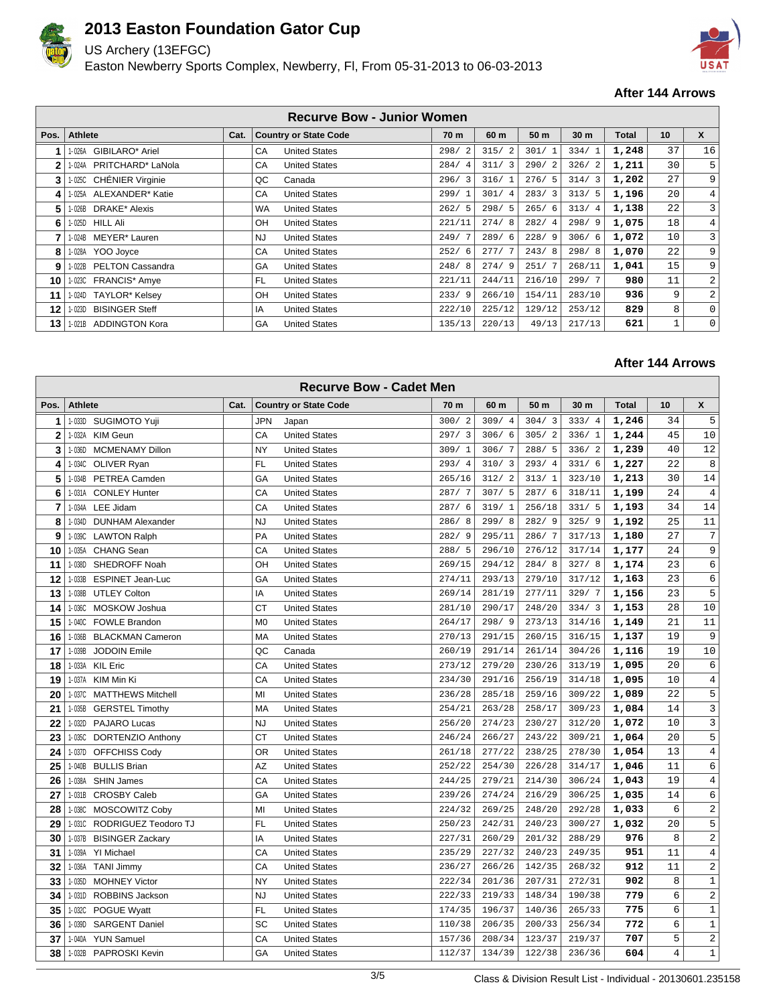

US Archery (13EFGC)

Easton Newberry Sports Complex, Newberry, Fl, From 05-31-2013 to 06-03-2013



### **After 144 Arrows**

| <b>Recurve Bow - Junior Women</b> |                           |      |                                   |        |                        |        |        |       |    |                |  |
|-----------------------------------|---------------------------|------|-----------------------------------|--------|------------------------|--------|--------|-------|----|----------------|--|
| Pos.                              | Athlete                   | Cat. | <b>Country or State Code</b>      | 70 m   | 60 m                   | 50 m   | 30 m   | Total | 10 | X              |  |
|                                   | GIBILARO* Ariel<br>1-026A |      | <b>United States</b><br>CA        | 298/   | 315/2                  | 301/1  | 334/1  | 1,248 | 37 | 16             |  |
| $\mathbf{2}$                      | 1-024A PRITCHARD* LaNola  |      | CA<br><b>United States</b>        | 284/4  | 311/3                  | 290/2  | 326/2  | 1,211 | 30 | 5              |  |
| 3                                 | 1-025C CHÉNIER Virginie   |      | QC<br>Canada                      | 296/3  | 316/1                  | 276/5  | 314/3  | 1,202 | 27 | 9 <sup>1</sup> |  |
| 4                                 | 1-025A ALEXANDER* Katie   |      | CA<br><b>United States</b>        | 299/1  | 301/<br>$\overline{4}$ | 283/3  | 313/5  | 1,196 | 20 | 4 <sup>1</sup> |  |
| 5                                 | 1-026B DRAKE* Alexis      |      | <b>United States</b><br><b>WA</b> | 262/5  | 298/5                  | 265/6  | 313/4  | 1,138 | 22 | $\overline{3}$ |  |
| 6                                 | 1-025D HILL Ali           |      | OH<br><b>United States</b>        | 221/11 | 274/8                  | 282/4  | 298/9  | 1,075 | 18 | 4 <sup>1</sup> |  |
|                                   | 1-024B MEYER* Lauren      |      | <b>NJ</b><br><b>United States</b> | 249/7  | 289/6                  | 228/9  | 306/6  | 1,072 | 10 | $\overline{3}$ |  |
| 8                                 | 1-028A YOO Joyce          |      | CA<br><b>United States</b>        | 252/6  | 277/7                  | 243/8  | 298/8  | 1,070 | 22 | 9 <sup>1</sup> |  |
| 9                                 | 1-022B PELTON Cassandra   |      | GA<br><b>United States</b>        | 248/8  | 274/9                  | 251/7  | 268/11 | 1,041 | 15 | 9 <sup>1</sup> |  |
| 10                                | 1-023C FRANCIS* Amye      |      | <b>FL</b><br><b>United States</b> | 221/11 | 244/11                 | 216/10 | 299/7  | 980   | 11 | $\overline{2}$ |  |
| 11                                | 1-024D TAYLOR* Kelsey     |      | OH<br><b>United States</b>        | 233/9  | 266/10                 | 154/11 | 283/10 | 936   | 9  | 2 <sup>1</sup> |  |
| 12                                | 1-023D BISINGER Steff     |      | IA<br><b>United States</b>        | 222/10 | 225/12                 | 129/12 | 253/12 | 829   | 8  | $\circ$        |  |
| 13                                | 1-021B ADDINGTON Kora     |      | GA<br><b>United States</b>        | 135/13 | 220/13                 | 49/13  | 217/13 | 621   | 1  | $\overline{0}$ |  |

|      | <b>Recurve Bow - Cadet Men</b>     |      |                                        |           |        |        |                 |              |                |                |  |  |
|------|------------------------------------|------|----------------------------------------|-----------|--------|--------|-----------------|--------------|----------------|----------------|--|--|
| Pos. | <b>Athlete</b>                     | Cat. | <b>Country or State Code</b>           | 70 m      | 60 m   | 50 m   | 30 <sub>m</sub> | <b>Total</b> | 10             | X              |  |  |
| 1    | SUGIMOTO Yuji<br>1-033D            |      | <b>JPN</b><br>Japan                    | 300/2     | 309/4  | 304/3  | 333/4           | 1,246        | 34             | 5              |  |  |
| 2    | 1-032A<br><b>KIM Geun</b>          |      | <b>United States</b><br>CA             | 297/3     | 306/6  | 305/2  | 336/1           | 1,244        | 45             | 10             |  |  |
| 3    | 1-036D<br><b>MCMENAMY Dillon</b>   |      | <b>NY</b><br><b>United States</b>      | 309/1     | 306/7  | 288/5  | 336/2           | 1,239        | 40             | 12             |  |  |
| 4    | 1-034C<br>OLIVER Ryan              |      | <b>FL</b><br><b>United States</b>      | 293/4     | 310/3  | 293/4  | 331/6           | 1,227        | 22             | $\,8\,$        |  |  |
| 5    | 1-034B<br>PETREA Camden            |      | GA<br><b>United States</b>             | 265/16    | 312/2  | 313/1  | 323/10          | 1,213        | 30             | 14             |  |  |
| 6    | <b>CONLEY Hunter</b><br>1-031A     |      | CA<br><b>United States</b>             | 287/7     | 307/5  | 287/6  | 318/11          | 1,199        | 24             | $\,4$          |  |  |
| 7    | LEE Jidam<br>1-034A                |      | CA<br><b>United States</b>             | 287/<br>6 | 319/1  | 256/18 | 331/5           | 1,193        | 34             | 14             |  |  |
| 8    | 1-034D<br><b>DUNHAM Alexander</b>  |      | <b>NJ</b><br><b>United States</b>      | 286/<br>8 | 299/8  | 282/9  | 325/9           | 1,192        | 25             | 11             |  |  |
| 9    | 1-039C<br><b>LAWTON Ralph</b>      |      | PA<br><b>United States</b>             | 282/9     | 295/11 | 286/7  | 317/13          | 1,180        | 27             | $\sqrt{ }$     |  |  |
| 10   | 1-035A<br><b>CHANG Sean</b>        |      | CA<br><b>United States</b>             | 288/5     | 296/10 | 276/12 | 317/14          | 1,177        | 24             | 9              |  |  |
| 11   | 1-038D<br>SHEDROFF Noah            |      | OH<br><b>United States</b>             | 269/15    | 294/12 | 284/8  | 327/8           | 1,174        | 23             | 6              |  |  |
| 12   | 1-033B<br><b>ESPINET Jean-Luc</b>  |      | GA<br><b>United States</b>             | 274/11    | 293/13 | 279/10 | 317/12          | 1,163        | 23             | 6              |  |  |
| 13   | 1-038B<br><b>UTLEY Colton</b>      |      | IA<br><b>United States</b>             | 269/14    | 281/19 | 277/11 | 329/7           | 1,156        | 23             | 5              |  |  |
| 14   | 1-036C<br>MOSKOW Joshua            |      | <b>CT</b><br><b>United States</b>      | 281/10    | 290/17 | 248/20 | 334/3           | 1,153        | 28             | 10             |  |  |
| 15   | 1-040C<br><b>FOWLE Brandon</b>     |      | M <sub>0</sub><br><b>United States</b> | 264/17    | 298/9  | 273/13 | 314/16          | 1,149        | 21             | 11             |  |  |
| 16   | <b>BLACKMAN Cameron</b><br>1-036B  |      | MA<br><b>United States</b>             | 270/13    | 291/15 | 260/15 | 316/15          | 1,137        | 19             | 9              |  |  |
| 17   | <b>JODOIN Emile</b><br>1-039B      |      | QC<br>Canada                           | 260/19    | 291/14 | 261/14 | 304/26          | 1,116        | 19             | 10             |  |  |
| 18   | <b>KIL Eric</b><br>1-033A          |      | CA<br><b>United States</b>             | 273/12    | 279/20 | 230/26 | 313/19          | 1,095        | 20             | $\sqrt{6}$     |  |  |
| 19   | KIM Min Ki<br>1-037A               |      | CA<br><b>United States</b>             | 234/30    | 291/16 | 256/19 | 314/18          | 1,095        | 10             | 4              |  |  |
| 20   | 1-037C<br><b>MATTHEWS Mitchell</b> |      | MI<br><b>United States</b>             | 236/28    | 285/18 | 259/16 | 309/22          | 1,089        | 22             | 5              |  |  |
| 21   | 1-035B<br><b>GERSTEL Timothy</b>   |      | MA<br><b>United States</b>             | 254/21    | 263/28 | 258/17 | 309/23          | 1,084        | 14             | $\mathbf{3}$   |  |  |
| 22   | 1-032D<br><b>PAJARO Lucas</b>      |      | <b>NJ</b><br><b>United States</b>      | 256/20    | 274/23 | 230/27 | 312/20          | 1,072        | 10             | 3              |  |  |
| 23   | 1-035C<br>DORTENZIO Anthony        |      | <b>CT</b><br><b>United States</b>      | 246/24    | 266/27 | 243/22 | 309/21          | 1,064        | 20             | 5              |  |  |
| 24   | 1-037D<br><b>OFFCHISS Cody</b>     |      | <b>OR</b><br><b>United States</b>      | 261/18    | 277/22 | 238/25 | 278/30          | 1,054        | 13             | $\overline{4}$ |  |  |
| 25   | 1-040B<br><b>BULLIS Brian</b>      |      | <b>AZ</b><br><b>United States</b>      | 252/22    | 254/30 | 226/28 | 314/17          | 1,046        | 11             | 6              |  |  |
| 26   | 1-038A<br><b>SHIN James</b>        |      | CA<br><b>United States</b>             | 244/25    | 279/21 | 214/30 | 306/24          | 1,043        | 19             | $\,4$          |  |  |
| 27   | 1-031B<br><b>CROSBY Caleb</b>      |      | GA<br><b>United States</b>             | 239/26    | 274/24 | 216/29 | 306/25          | 1,035        | 14             | $\sqrt{6}$     |  |  |
| 28   | 1-038C MOSCOWITZ Coby              |      | MI<br><b>United States</b>             | 224/32    | 269/25 | 248/20 | 292/28          | 1,033        | 6              | $\sqrt{2}$     |  |  |
| 29   | RODRIGUEZ Teodoro TJ<br>$1-031C$   |      | <b>FL</b><br><b>United States</b>      | 250/23    | 242/31 | 240/23 | 300/27          | 1,032        | 20             | 5              |  |  |
| 30   | 1-037B<br><b>BISINGER Zackary</b>  |      | IA<br><b>United States</b>             | 227/31    | 260/29 | 201/32 | 288/29          | 976          | 8              | $\sqrt{2}$     |  |  |
| 31   | 1-039A<br><b>YI Michael</b>        |      | CA<br><b>United States</b>             | 235/29    | 227/32 | 240/23 | 249/35          | 951          | 11             | $\overline{4}$ |  |  |
| 32   | 1-036A<br><b>TANI Jimmy</b>        |      | CA<br><b>United States</b>             | 236/27    | 266/26 | 142/35 | 268/32          | 912          | 11             | 2              |  |  |
| 33   | 1-035D<br><b>MOHNEY Victor</b>     |      | NY<br><b>United States</b>             | 222/34    | 201/36 | 207/31 | 272/31          | 902          | 8              | $\mathbf{1}$   |  |  |
| 34   | 1-031D<br>ROBBINS Jackson          |      | <b>NJ</b><br><b>United States</b>      | 222/33    | 219/33 | 148/34 | 190/38          | 779          | 6              | $\sqrt{2}$     |  |  |
| 35   | 1-032C<br>POGUE Wyatt              |      | <b>FL</b><br><b>United States</b>      | 174/35    | 196/37 | 140/36 | 265/33          | 775          | 6              | $\mathbf 1$    |  |  |
| 36   | 1-039D<br><b>SARGENT Daniel</b>    |      | SC<br><b>United States</b>             | 110/38    | 206/35 | 200/33 | 256/34          | 772          | 6              | $\mathbf 1$    |  |  |
| 37   | <b>YUN Samuel</b><br>1-040A        |      | CA<br><b>United States</b>             | 157/36    | 208/34 | 123/37 | 219/37          | 707          | 5              | $\sqrt{2}$     |  |  |
| 38   | PAPROSKI Kevin<br>1-032B           |      | GA<br><b>United States</b>             | 112/37    | 134/39 | 122/38 | 236/36          | 604          | $\overline{4}$ | $1\,$          |  |  |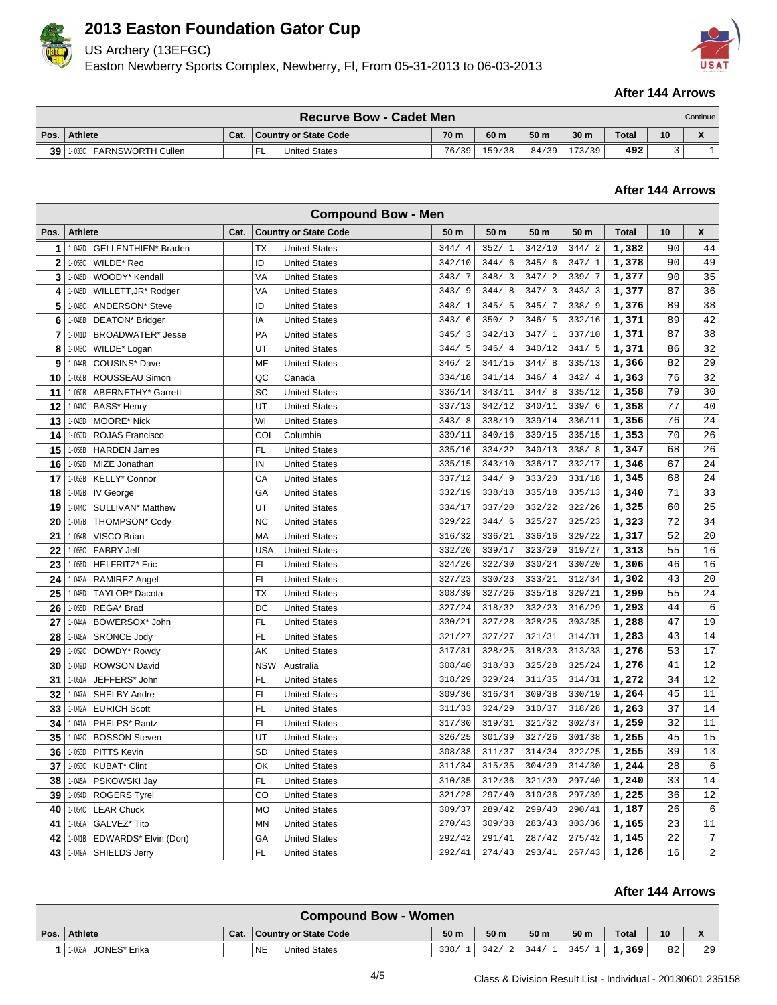

US Archery (13EFGC)

Easton Newberry Sports Complex, Newberry, Fl, From 05-31-2013 to 06-03-2013



### **After 144 Arrows**

|      | <b>Recurve Bow - Cadet Men</b><br>Continue I |      |                              |       |        |                 |                 |       |                 |              |  |
|------|----------------------------------------------|------|------------------------------|-------|--------|-----------------|-----------------|-------|-----------------|--------------|--|
| Pos. | Athlete                                      | Cat. | <b>Country or State Code</b> | 70 m  | 60 m   | 50 <sub>m</sub> | 30 <sub>m</sub> | Total | 10 <sup>°</sup> | $\mathbf{v}$ |  |
| 39   | <b>FARNSWORTH Cullen</b><br>1-033C           |      | United States<br>-           | 76/39 | 159/38 | 84/39           | 173/39          | 492   |                 |              |  |

### **After 144 Arrows**

| <b>Compound Bow - Men</b> |                                         |      |                                    |                                 |        |        |        |              |    |                |  |  |
|---------------------------|-----------------------------------------|------|------------------------------------|---------------------------------|--------|--------|--------|--------------|----|----------------|--|--|
| Pos.                      | <b>Athlete</b>                          | Cat. | <b>Country or State Code</b>       | 50 m                            | 50 m   | 50 m   | 50 m   | <b>Total</b> | 10 | X              |  |  |
| 1                         | 1-047D GELLENTHIEN* Braden              |      | <b>TX</b><br><b>United States</b>  | 344/4                           | 352/1  | 342/10 | 344/2  | 1,382        | 90 | 44             |  |  |
| $\mathbf 2$               | WILDE* Reo<br>1-056C                    |      | ID<br><b>United States</b>         | 342/10                          | 344/6  | 345/6  | 347/1  | 1,378        | 90 | 49             |  |  |
| 3                         | 1-046D<br>WOODY* Kendall                |      | VA<br><b>United States</b>         | 343/7                           | 348/3  | 347/2  | 339/7  | 1,377        | 90 | 35             |  |  |
| 4                         | 1-045D<br>WILLETT, JR* Rodger           |      | VA<br><b>United States</b>         | 343/<br>9                       | 344/8  | 347/3  | 343/3  | 1,377        | 87 | 36             |  |  |
| 5                         | 1-048C<br><b>ANDERSON*</b> Steve        |      | ID<br><b>United States</b>         | 348/<br>1                       | 345/5  | 345/7  | 338/9  | 1,376        | 89 | 38             |  |  |
| 6                         | 1-048B<br>DEATON* Bridger               |      | IA<br><b>United States</b>         | 343/6                           | 350/2  | 346/5  | 332/16 | 1,371        | 89 | 42             |  |  |
| 7                         | 1-041D<br><b>BROADWATER*</b> Jesse      |      | PA<br><b>United States</b>         | 345/<br>$\overline{\mathbf{3}}$ | 342/13 | 347/1  | 337/10 | 1,371        | 87 | 38             |  |  |
| 8                         | 1-043C<br>WILDE* Logan                  |      | UT<br><b>United States</b>         | 5<br>344/                       | 346/4  | 340/12 | 341/5  | 1,371        | 86 | 32             |  |  |
| 9                         | 1-044B<br>COUSINS* Dave                 |      | ME<br><b>United States</b>         | 346/2                           | 341/15 | 344/8  | 335/13 | 1,366        | 82 | 29             |  |  |
| 10                        | 1-055B<br>ROUSSEAU Simon                |      | QC<br>Canada                       | 334/18                          | 341/14 | 346/4  | 342/4  | 1,363        | 76 | 32             |  |  |
| 11                        | 1-050B<br>ABERNETHY* Garrett            |      | SC<br><b>United States</b>         | 336/14                          | 343/11 | 344/8  | 335/12 | 1,358        | 79 | 30             |  |  |
| 12                        | BASS* Henry<br>1-041C                   |      | UT<br><b>United States</b>         | 337/13                          | 342/12 | 340/11 | 339/6  | 1,358        | 77 | 40             |  |  |
| 13                        | 1-043D<br><b>MOORE* Nick</b>            |      | WI<br><b>United States</b>         | 343/8                           | 338/19 | 339/14 | 336/11 | 1,356        | 76 | 24             |  |  |
| 14                        | 1-050D<br>ROJAS Francisco               |      | COL<br>Columbia                    | 339/11                          | 340/16 | 339/15 | 335/15 | 1,353        | 70 | 26             |  |  |
| 15                        | 1-056B<br><b>HARDEN James</b>           |      | FL<br><b>United States</b>         | 335/16                          | 334/22 | 340/13 | 338/8  | 1,347        | 68 | 26             |  |  |
| 16                        | MIZE Jonathan<br>1-052D                 |      | IN<br><b>United States</b>         | 335/15                          | 343/10 | 336/17 | 332/17 | 1,346        | 67 | 24             |  |  |
| 17                        | 1-053B<br>KELLY* Connor                 |      | CA<br><b>United States</b>         | 337/12                          | 344/9  | 333/20 | 331/18 | 1,345        | 68 | 24             |  |  |
| 18                        | 1-042B IV George                        |      | GA<br><b>United States</b>         | 332/19                          | 338/18 | 335/18 | 335/13 | 1,340        | 71 | 33             |  |  |
| 19                        | 1-044C<br>SULLIVAN <sup>*</sup> Matthew |      | UT<br><b>United States</b>         | 334/17                          | 337/20 | 332/22 | 322/26 | 1,325        | 60 | 25             |  |  |
| 20                        | 1-047B<br>THOMPSON* Cody                |      | <b>NC</b><br><b>United States</b>  | 329/22                          | 344/6  | 325/27 | 325/23 | 1,323        | 72 | 34             |  |  |
| 21                        | 1-054B<br>VISCO Brian                   |      | <b>MA</b><br><b>United States</b>  | 316/32                          | 336/21 | 336/16 | 329/22 | 1,317        | 52 | 20             |  |  |
| 22                        | 1-055C<br><b>FABRY Jeff</b>             |      | <b>USA</b><br><b>United States</b> | 332/20                          | 339/17 | 323/29 | 319/27 | 1,313        | 55 | 16             |  |  |
| 23                        | 1-056D<br><b>HELFRITZ*</b> Eric         |      | FL.<br><b>United States</b>        | 324/26                          | 322/30 | 330/24 | 330/20 | 1,306        | 46 | 16             |  |  |
| 24                        | 1-043A<br>RAMIREZ Angel                 |      | FL.<br><b>United States</b>        | 327/23                          | 330/23 | 333/21 | 312/34 | 1,302        | 43 | 20             |  |  |
| 25                        | 1-048D<br>TAYLOR* Dacota                |      | <b>TX</b><br><b>United States</b>  | 308/39                          | 327/26 | 335/18 | 329/21 | 1,299        | 55 | 24             |  |  |
| 26                        | 1-055D<br>REGA* Brad                    |      | DC<br><b>United States</b>         | 327/24                          | 318/32 | 332/23 | 316/29 | 1,293        | 44 | $\epsilon$     |  |  |
| 27                        | 1-044A<br>BOWERSOX* John                |      | FL<br><b>United States</b>         | 330/21                          | 327/28 | 328/25 | 303/35 | 1,288        | 47 | 19             |  |  |
| 28                        | 1-048A<br><b>SRONCE Jody</b>            |      | FL<br><b>United States</b>         | 321/27                          | 327/27 | 321/31 | 314/31 | 1,283        | 43 | 14             |  |  |
| 29                        | 1-052C<br>DOWDY* Rowdy                  |      | AK<br><b>United States</b>         | 317/31                          | 328/25 | 318/33 | 313/33 | 1,276        | 53 | 17             |  |  |
| 30                        | 1-049D<br><b>ROWSON David</b>           |      | <b>NSW</b><br>Australia            | 308/40                          | 318/33 | 325/28 | 325/24 | 1,276        | 41 | 12             |  |  |
| 31                        | 1-051A<br>JEFFERS* John                 |      | FL<br><b>United States</b>         | 318/29                          | 329/24 | 311/35 | 314/31 | 1,272        | 34 | 12             |  |  |
| 32                        | 1-047A<br>SHELBY Andre                  |      | FL<br><b>United States</b>         | 309/36                          | 316/34 | 309/38 | 330/19 | 1,264        | 45 | 11             |  |  |
| 33                        | 1-042A<br><b>EURICH Scott</b>           |      | FL.<br><b>United States</b>        | 311/33                          | 324/29 | 310/37 | 318/28 | 1,263        | 37 | 14             |  |  |
| 34                        | 1-041A<br>PHELPS* Rantz                 |      | FL<br><b>United States</b>         | 317/30                          | 319/31 | 321/32 | 302/37 | 1,259        | 32 | 11             |  |  |
| 35                        | <b>BOSSON Steven</b><br>1-042C          |      | UT<br><b>United States</b>         | 326/25                          | 301/39 | 327/26 | 301/38 | 1,255        | 45 | 15             |  |  |
| 36                        | 1-053D<br><b>PITTS Kevin</b>            |      | SD<br><b>United States</b>         | 308/38                          | 311/37 | 314/34 | 322/25 | 1,255        | 39 | 13             |  |  |
| 37                        | 1-053C<br><b>KUBAT* Clint</b>           |      | OK<br><b>United States</b>         | 311/34                          | 315/35 | 304/39 | 314/30 | 1,244        | 28 | $\epsilon$     |  |  |
| 38                        | 1-045A<br>PSKOWSKI Jay                  |      | FL.<br><b>United States</b>        | 310/35                          | 312/36 | 321/30 | 297/40 | 1,240        | 33 | 14             |  |  |
| 39                        | 1-054D<br><b>ROGERS Tyrel</b>           |      | CO<br><b>United States</b>         | 321/28                          | 297/40 | 310/36 | 297/39 | 1,225        | 36 | 12             |  |  |
| 40                        | 1-054C LEAR Chuck                       |      | <b>MO</b><br><b>United States</b>  | 309/37                          | 289/42 | 299/40 | 290/41 | 1,187        | 26 | $\epsilon$     |  |  |
| 41                        | 1-056A<br>GALVEZ* Tito                  |      | <b>MN</b><br><b>United States</b>  | 270/43                          | 309/38 | 283/43 | 303/36 | 1,165        | 23 | 11             |  |  |
| 42                        | 1-041B<br>EDWARDS* Elvin (Don)          |      | GA<br><b>United States</b>         | 292/42                          | 291/41 | 287/42 | 275/42 | 1,145        | 22 | 7              |  |  |
| 43                        | 1-049A<br>SHIELDS Jerry                 |      | FL.<br><b>United States</b>        | 292/41                          | 274/43 | 293/41 | 267/43 | 1,126        | 16 | $\overline{a}$ |  |  |

|      | <b>Compound Bow - Women</b> |      |                            |      |                 |                 |      |              |    |              |  |
|------|-----------------------------|------|----------------------------|------|-----------------|-----------------|------|--------------|----|--------------|--|
| Pos. | Athlete                     | Cat. | Country or State Code      | 50 m | 50 <sub>m</sub> | 50 <sub>m</sub> | 50 m | <b>Total</b> | 10 | $\mathbf{v}$ |  |
|      | 1-063A<br>JONES* Erika      |      | <b>NE</b><br>United States | 338/ | 342/            | 344/            | 345/ | 1,369'       | 82 | 29           |  |